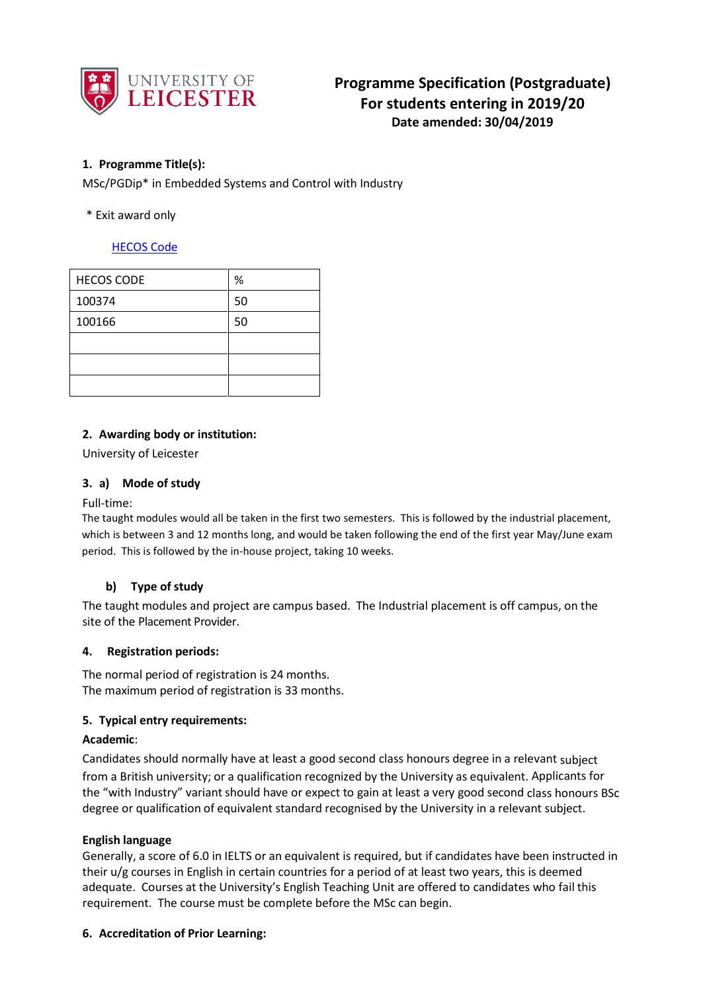

# **1. Programme Title(s):**

MSc/PGDip\* in Embedded Systems and Control with Industry

# \* Exit award only

# [HECOS Code](https://www.hesa.ac.uk/innovation/hecos)

| <b>HECOS CODE</b> | %  |
|-------------------|----|
| 100374            | 50 |
| 100166            | 50 |
|                   |    |
|                   |    |
|                   |    |

## **2. Awarding body or institution:**

University of Leicester

## **3. a) Mode of study**

### Full-time:

The taught modules would all be taken in the first two semesters. This is followed by the industrial placement, which is between 3 and 12 months long, and would be taken following the end of the first year May/June exam period. This is followed by the in-house project, taking 10 weeks.

### **b) Type of study**

The taught modules and project are campus based. The Industrial placement is off campus, on the site of the Placement Provider.

### **4. Registration periods:**

The normal period of registration is 24 months. The maximum period of registration is 33 months.

### **5. Typical entry requirements:**

### **Academic**:

Candidates should normally have at least a good second class honours degree in a relevant subject from a British university; or a qualification recognized by the University as equivalent. Applicants for the "with Industry" variant should have or expect to gain at least a very good second class honours BSc degree or qualification of equivalent standard recognised by the University in a relevant subject.

### **English language**

Generally, a score of 6.0 in IELTS or an equivalent is required, but if candidates have been instructed in their u/g courses in English in certain countries for a period of at least two years, this is deemed adequate. Courses at the University's English Teaching Unit are offered to candidates who fail this requirement. The course must be complete before the MSc can begin.

### **6. Accreditation of Prior Learning:**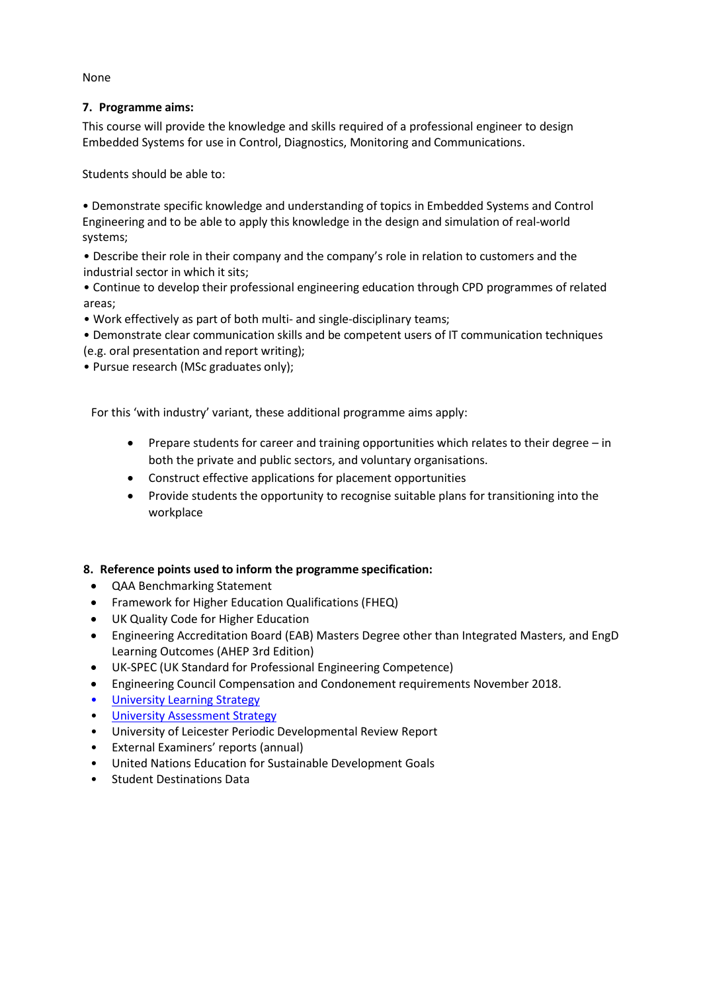None

# **7. Programme aims:**

This course will provide the knowledge and skills required of a professional engineer to design Embedded Systems for use in Control, Diagnostics, Monitoring and Communications.

Students should be able to:

• Demonstrate specific knowledge and understanding of topics in Embedded Systems and Control Engineering and to be able to apply this knowledge in the design and simulation of real-world systems;

• Describe their role in their company and the company's role in relation to customers and the industrial sector in which it sits;

• Continue to develop their professional engineering education through CPD programmes of related areas;

• Work effectively as part of both multi- and single-disciplinary teams;

• Demonstrate clear communication skills and be competent users of IT communication techniques (e.g. oral presentation and report writing);

• Pursue research (MSc graduates only);

For this 'with industry' variant, these additional programme aims apply:

- Prepare students for career and training opportunities which relates to their degree in both the private and public sectors, and voluntary organisations.
- Construct effective applications for placement opportunities
- Provide students the opportunity to recognise suitable plans for transitioning into the workplace

# **8. Reference points used to inform the programme specification:**

- QAA Benchmarking Statement
- Framework for Higher Education Qualifications (FHEQ)
- UK Quality Code for Higher Education
- Engineering Accreditation Board (EAB) Masters Degree other than Integrated Masters, and EngD Learning Outcomes (AHEP 3rd Edition)
- UK-SPEC (UK Standard for Professional Engineering Competence)
- Engineering Council Compensation and Condonement requirements November 2018.
- University Learnin[g Strategy](https://www2.le.ac.uk/offices/sas2/quality/learnteach)
- **[University Assessment Strategy](https://www2.le.ac.uk/offices/sas2/quality/learnteach)**
- University of Leicester Periodic Developmental Review Report
- External Examiners' reports (annual)
- United Nations Education for Sustainable Development Goals
- Student Destinations Data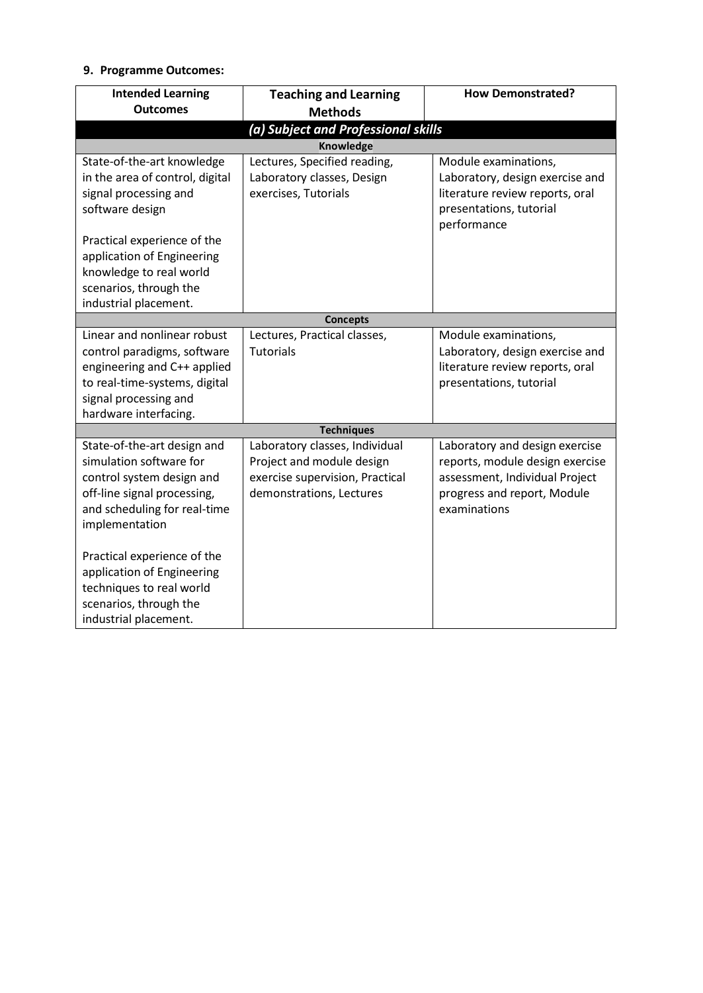# **9. Programme Outcomes:**

| <b>Intended Learning</b>            | <b>Teaching and Learning</b>                    | <b>How Demonstrated?</b>                                           |  |  |  |  |  |  |
|-------------------------------------|-------------------------------------------------|--------------------------------------------------------------------|--|--|--|--|--|--|
| <b>Outcomes</b>                     | <b>Methods</b>                                  |                                                                    |  |  |  |  |  |  |
| (a) Subject and Professional skills |                                                 |                                                                    |  |  |  |  |  |  |
| <b>Knowledge</b>                    |                                                 |                                                                    |  |  |  |  |  |  |
| State-of-the-art knowledge          | Lectures, Specified reading,                    | Module examinations,                                               |  |  |  |  |  |  |
| in the area of control, digital     | Laboratory classes, Design                      | Laboratory, design exercise and                                    |  |  |  |  |  |  |
| signal processing and               | exercises, Tutorials                            | literature review reports, oral                                    |  |  |  |  |  |  |
| software design                     |                                                 | presentations, tutorial                                            |  |  |  |  |  |  |
|                                     |                                                 | performance                                                        |  |  |  |  |  |  |
| Practical experience of the         |                                                 |                                                                    |  |  |  |  |  |  |
| application of Engineering          |                                                 |                                                                    |  |  |  |  |  |  |
| knowledge to real world             |                                                 |                                                                    |  |  |  |  |  |  |
| scenarios, through the              |                                                 |                                                                    |  |  |  |  |  |  |
| industrial placement.               |                                                 |                                                                    |  |  |  |  |  |  |
| Linear and nonlinear robust         | <b>Concepts</b><br>Lectures, Practical classes, | Module examinations,                                               |  |  |  |  |  |  |
| control paradigms, software         | <b>Tutorials</b>                                |                                                                    |  |  |  |  |  |  |
| engineering and C++ applied         |                                                 | Laboratory, design exercise and<br>literature review reports, oral |  |  |  |  |  |  |
| to real-time-systems, digital       |                                                 | presentations, tutorial                                            |  |  |  |  |  |  |
| signal processing and               |                                                 |                                                                    |  |  |  |  |  |  |
| hardware interfacing.               |                                                 |                                                                    |  |  |  |  |  |  |
|                                     | <b>Techniques</b>                               |                                                                    |  |  |  |  |  |  |
| State-of-the-art design and         | Laboratory classes, Individual                  | Laboratory and design exercise                                     |  |  |  |  |  |  |
| simulation software for             | Project and module design                       | reports, module design exercise                                    |  |  |  |  |  |  |
| control system design and           | exercise supervision, Practical                 | assessment, Individual Project                                     |  |  |  |  |  |  |
| off-line signal processing,         | demonstrations, Lectures                        | progress and report, Module                                        |  |  |  |  |  |  |
| and scheduling for real-time        |                                                 | examinations                                                       |  |  |  |  |  |  |
| implementation                      |                                                 |                                                                    |  |  |  |  |  |  |
|                                     |                                                 |                                                                    |  |  |  |  |  |  |
| Practical experience of the         |                                                 |                                                                    |  |  |  |  |  |  |
| application of Engineering          |                                                 |                                                                    |  |  |  |  |  |  |
| techniques to real world            |                                                 |                                                                    |  |  |  |  |  |  |
| scenarios, through the              |                                                 |                                                                    |  |  |  |  |  |  |
| industrial placement.               |                                                 |                                                                    |  |  |  |  |  |  |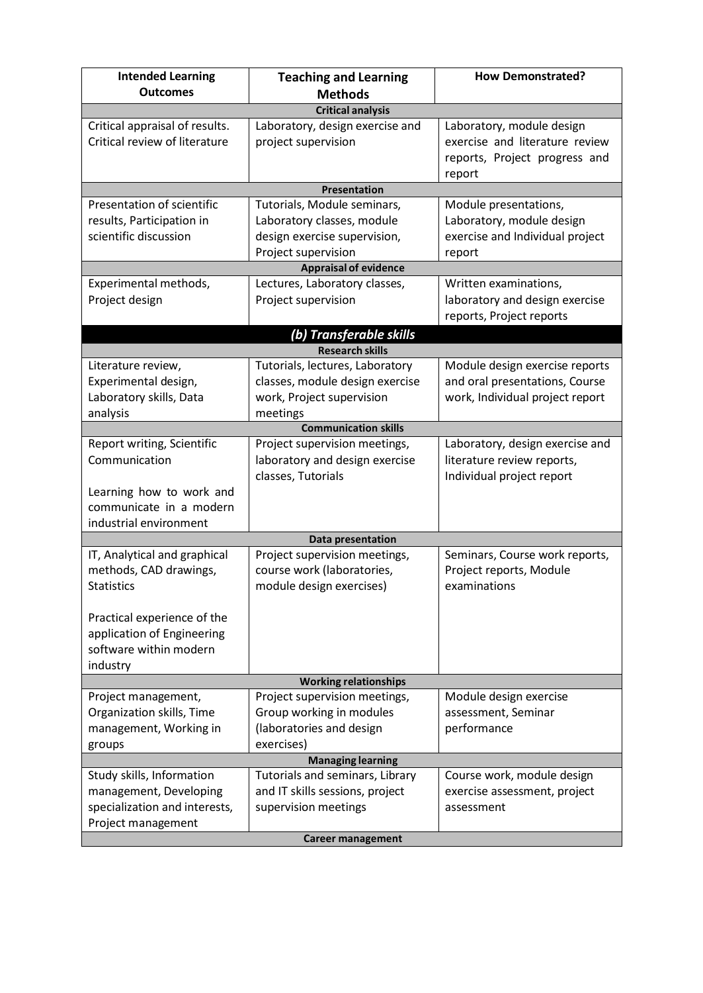| <b>Intended Learning</b><br><b>Outcomes</b> | <b>Teaching and Learning</b>                       | <b>How Demonstrated?</b>                                  |  |  |  |  |  |  |
|---------------------------------------------|----------------------------------------------------|-----------------------------------------------------------|--|--|--|--|--|--|
| <b>Methods</b><br><b>Critical analysis</b>  |                                                    |                                                           |  |  |  |  |  |  |
| Critical appraisal of results.              | Laboratory, design exercise and                    | Laboratory, module design                                 |  |  |  |  |  |  |
| Critical review of literature               | project supervision                                | exercise and literature review                            |  |  |  |  |  |  |
|                                             |                                                    | reports, Project progress and                             |  |  |  |  |  |  |
|                                             |                                                    | report                                                    |  |  |  |  |  |  |
|                                             | Presentation                                       |                                                           |  |  |  |  |  |  |
| Presentation of scientific                  | Tutorials, Module seminars,                        | Module presentations,                                     |  |  |  |  |  |  |
| results, Participation in                   | Laboratory classes, module                         | Laboratory, module design                                 |  |  |  |  |  |  |
| scientific discussion                       | design exercise supervision,                       | exercise and Individual project                           |  |  |  |  |  |  |
|                                             | Project supervision                                | report                                                    |  |  |  |  |  |  |
|                                             | <b>Appraisal of evidence</b>                       |                                                           |  |  |  |  |  |  |
| Experimental methods,                       | Lectures, Laboratory classes,                      | Written examinations,                                     |  |  |  |  |  |  |
| Project design                              | Project supervision                                | laboratory and design exercise                            |  |  |  |  |  |  |
|                                             |                                                    | reports, Project reports                                  |  |  |  |  |  |  |
|                                             | (b) Transferable skills                            |                                                           |  |  |  |  |  |  |
|                                             | <b>Research skills</b>                             |                                                           |  |  |  |  |  |  |
| Literature review,                          | Tutorials, lectures, Laboratory                    | Module design exercise reports                            |  |  |  |  |  |  |
| Experimental design,                        | classes, module design exercise                    | and oral presentations, Course                            |  |  |  |  |  |  |
| Laboratory skills, Data                     | work, Project supervision                          | work, Individual project report                           |  |  |  |  |  |  |
| analysis                                    | meetings                                           |                                                           |  |  |  |  |  |  |
|                                             | <b>Communication skills</b>                        |                                                           |  |  |  |  |  |  |
| Report writing, Scientific                  | Project supervision meetings,                      | Laboratory, design exercise and                           |  |  |  |  |  |  |
| Communication                               | laboratory and design exercise                     | literature review reports,                                |  |  |  |  |  |  |
|                                             | classes, Tutorials                                 | Individual project report                                 |  |  |  |  |  |  |
| Learning how to work and                    |                                                    |                                                           |  |  |  |  |  |  |
| communicate in a modern                     |                                                    |                                                           |  |  |  |  |  |  |
| industrial environment                      |                                                    |                                                           |  |  |  |  |  |  |
| IT, Analytical and graphical                | Data presentation<br>Project supervision meetings, |                                                           |  |  |  |  |  |  |
| methods, CAD drawings,                      | course work (laboratories,                         | Seminars, Course work reports,<br>Project reports, Module |  |  |  |  |  |  |
| <b>Statistics</b>                           | module design exercises)                           | examinations                                              |  |  |  |  |  |  |
|                                             |                                                    |                                                           |  |  |  |  |  |  |
| Practical experience of the                 |                                                    |                                                           |  |  |  |  |  |  |
| application of Engineering                  |                                                    |                                                           |  |  |  |  |  |  |
| software within modern                      |                                                    |                                                           |  |  |  |  |  |  |
| industry                                    |                                                    |                                                           |  |  |  |  |  |  |
| <b>Working relationships</b>                |                                                    |                                                           |  |  |  |  |  |  |
| Project management,                         | Project supervision meetings,                      | Module design exercise                                    |  |  |  |  |  |  |
| Organization skills, Time                   | Group working in modules                           | assessment, Seminar                                       |  |  |  |  |  |  |
| management, Working in                      | (laboratories and design                           | performance                                               |  |  |  |  |  |  |
| groups                                      | exercises)                                         |                                                           |  |  |  |  |  |  |
|                                             | <b>Managing learning</b>                           |                                                           |  |  |  |  |  |  |
| Study skills, Information                   | Tutorials and seminars, Library                    | Course work, module design                                |  |  |  |  |  |  |
| management, Developing                      | and IT skills sessions, project                    | exercise assessment, project                              |  |  |  |  |  |  |
| specialization and interests,               | supervision meetings                               | assessment                                                |  |  |  |  |  |  |
| Project management                          |                                                    |                                                           |  |  |  |  |  |  |
|                                             | <b>Career management</b>                           |                                                           |  |  |  |  |  |  |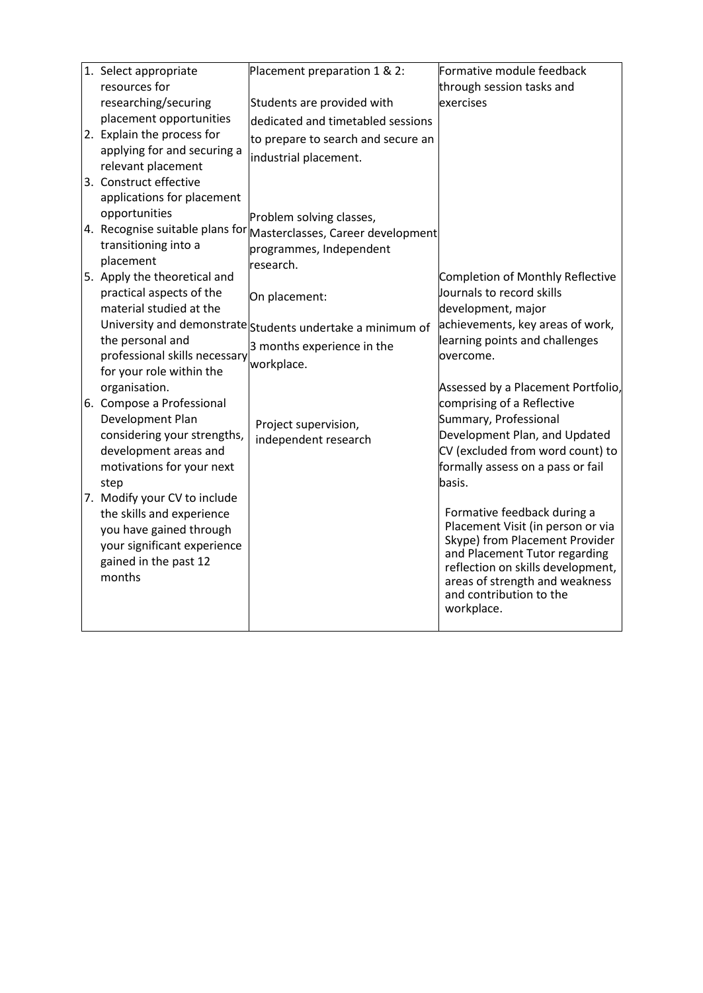| 1. Select appropriate         | Placement preparation 1 & 2:                                                              | Formative module feedback                                          |
|-------------------------------|-------------------------------------------------------------------------------------------|--------------------------------------------------------------------|
| resources for                 |                                                                                           | through session tasks and                                          |
| researching/securing          | Students are provided with                                                                | exercises                                                          |
| placement opportunities       | dedicated and timetabled sessions                                                         |                                                                    |
| 2. Explain the process for    | to prepare to search and secure an                                                        |                                                                    |
| applying for and securing a   | industrial placement.                                                                     |                                                                    |
| relevant placement            |                                                                                           |                                                                    |
| 3. Construct effective        |                                                                                           |                                                                    |
| applications for placement    |                                                                                           |                                                                    |
| opportunities                 | Problem solving classes,                                                                  |                                                                    |
|                               | $\vert$ 4. Recognise suitable plans for $\vert$ Masterclasses, Career development $\vert$ |                                                                    |
| transitioning into a          | programmes, Independent                                                                   |                                                                    |
| placement                     | research.                                                                                 |                                                                    |
| 5. Apply the theoretical and  |                                                                                           | Completion of Monthly Reflective                                   |
| practical aspects of the      | On placement:                                                                             | Journals to record skills                                          |
| material studied at the       |                                                                                           | development, major                                                 |
|                               | University and demonstrate students undertake a minimum of                                | achievements, key areas of work,                                   |
| the personal and              | 3 months experience in the                                                                | learning points and challenges                                     |
| professional skills necessary | workplace.                                                                                | overcome.                                                          |
| for your role within the      |                                                                                           |                                                                    |
| organisation.                 |                                                                                           | Assessed by a Placement Portfolio,                                 |
| 6. Compose a Professional     |                                                                                           | comprising of a Reflective                                         |
| Development Plan              | Project supervision,                                                                      | Summary, Professional                                              |
| considering your strengths,   | independent research                                                                      | Development Plan, and Updated                                      |
| development areas and         |                                                                                           | CV (excluded from word count) to                                   |
| motivations for your next     |                                                                                           | formally assess on a pass or fail                                  |
| step                          |                                                                                           | basis.                                                             |
| 7. Modify your CV to include  |                                                                                           |                                                                    |
| the skills and experience     |                                                                                           | Formative feedback during a                                        |
| you have gained through       |                                                                                           | Placement Visit (in person or via                                  |
| your significant experience   |                                                                                           | Skype) from Placement Provider                                     |
| gained in the past 12         |                                                                                           | and Placement Tutor regarding<br>reflection on skills development, |
| months                        |                                                                                           | areas of strength and weakness                                     |
|                               |                                                                                           | and contribution to the                                            |
|                               |                                                                                           | workplace.                                                         |
|                               |                                                                                           |                                                                    |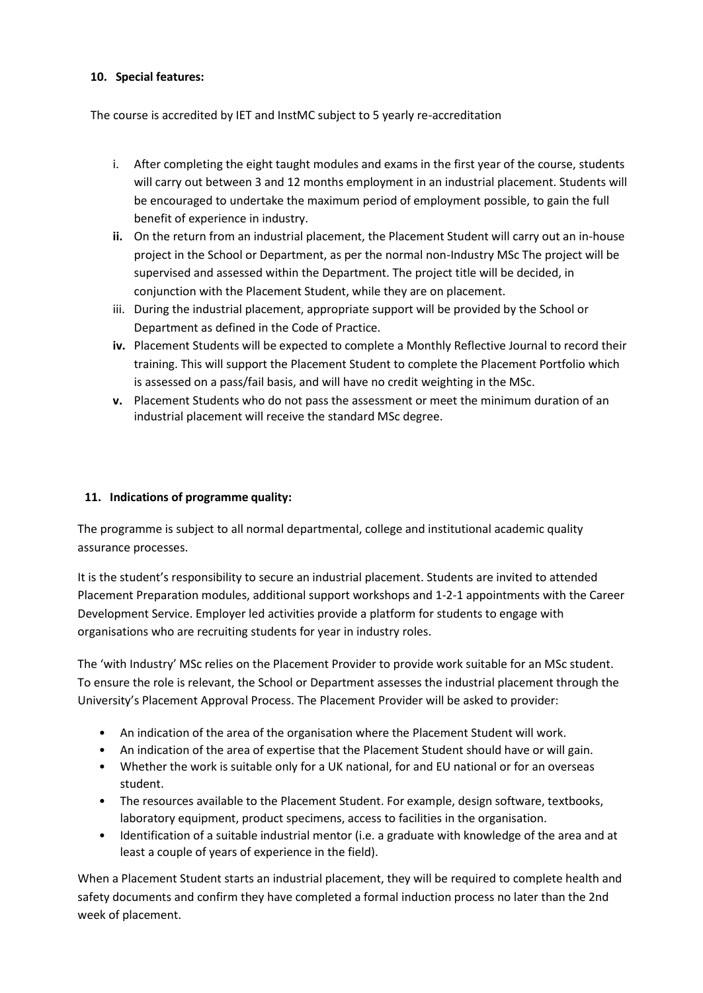# **10. Special features:**

The course is accredited by IET and InstMC subject to 5 yearly re-accreditation

- i. After completing the eight taught modules and exams in the first year of the course, students will carry out between 3 and 12 months employment in an industrial placement. Students will be encouraged to undertake the maximum period of employment possible, to gain the full benefit of experience in industry.
- **ii.** On the return from an industrial placement, the Placement Student will carry out an in-house project in the School or Department, as per the normal non-Industry MSc The project will be supervised and assessed within the Department. The project title will be decided, in conjunction with the Placement Student, while they are on placement.
- iii. During the industrial placement, appropriate support will be provided by the School or Department as defined in the Code of Practice.
- **iv.** Placement Students will be expected to complete a Monthly Reflective Journal to record their training. This will support the Placement Student to complete the Placement Portfolio which is assessed on a pass/fail basis, and will have no credit weighting in the MSc.
- **v.** Placement Students who do not pass the assessment or meet the minimum duration of an industrial placement will receive the standard MSc degree.

# **11. Indications of programme quality:**

The programme is subject to all normal departmental, college and institutional academic quality assurance processes.

It is the student's responsibility to secure an industrial placement. Students are invited to attended Placement Preparation modules, additional support workshops and 1-2-1 appointments with the Career Development Service. Employer led activities provide a platform for students to engage with organisations who are recruiting students for year in industry roles.

The 'with Industry' MSc relies on the Placement Provider to provide work suitable for an MSc student. To ensure the role is relevant, the School or Department assesses the industrial placement through the University's Placement Approval Process. The Placement Provider will be asked to provider:

- An indication of the area of the organisation where the Placement Student will work.
- An indication of the area of expertise that the Placement Student should have or will gain.
- Whether the work is suitable only for a UK national, for and EU national or for an overseas student.
- The resources available to the Placement Student. For example, design software, textbooks, laboratory equipment, product specimens, access to facilities in the organisation.
- Identification of a suitable industrial mentor (i.e. a graduate with knowledge of the area and at least a couple of years of experience in the field).

When a Placement Student starts an industrial placement, they will be required to complete health and safety documents and confirm they have completed a formal induction process no later than the 2nd week of placement.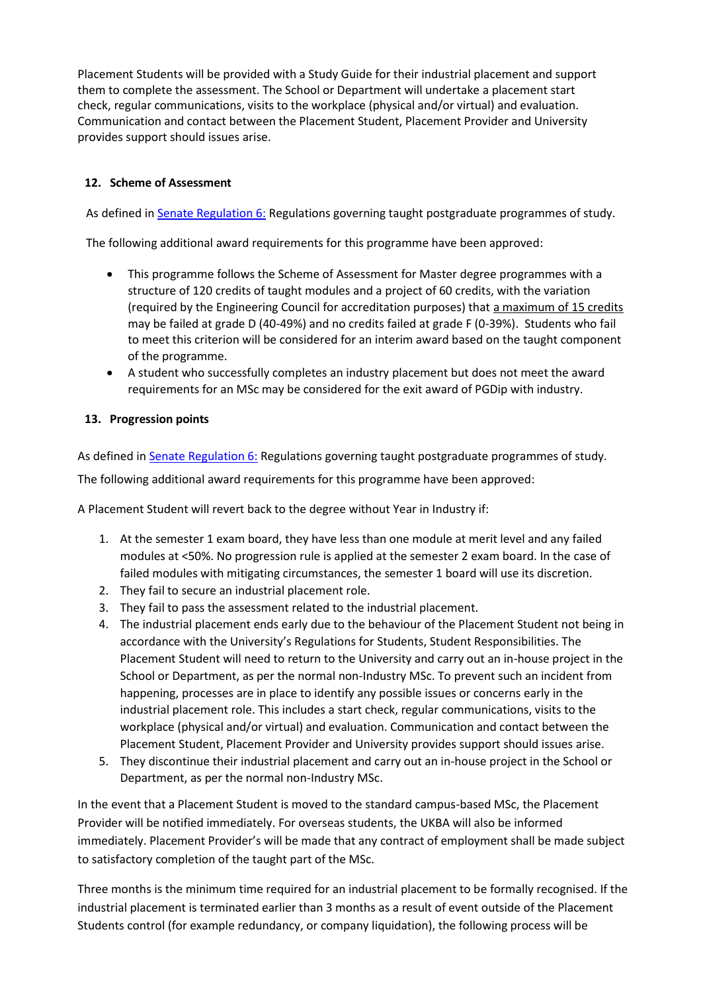Placement Students will be provided with a Study Guide for their industrial placement and support them to complete the assessment. The School or Department will undertake a placement start check, regular communications, visits to the workplace (physical and/or virtual) and evaluation. Communication and contact between the Placement Student, Placement Provider and University provides support should issues arise.

# **12. Scheme of Assessment**

As defined i[n Senate Regulation 6:](http://www.le.ac.uk/senate-regulation6) Regulations governing taught postgraduate programmes of study.

The following additional award requirements for this programme have been approved:

- This programme follows the Scheme of Assessment for Master degree programmes with a structure of 120 credits of taught modules and a project of 60 credits, with the variation (required by the Engineering Council for accreditation purposes) that a maximum of 15 credits may be failed at grade D (40-49%) and no credits failed at grade F (0-39%). Students who fail to meet this criterion will be considered for an interim award based on the taught component of the programme.
- A student who successfully completes an industry placement but does not meet the award requirements for an MSc may be considered for the exit award of PGDip with industry.

## **13. Progression points**

As defined i[n Senate Regulation 6:](http://www.le.ac.uk/senate-regulation6) Regulations governing taught postgraduate programmes of study.

The following additional award requirements for this programme have been approved:

A Placement Student will revert back to the degree without Year in Industry if:

- 1. At the semester 1 exam board, they have less than one module at merit level and any failed modules at <50%. No progression rule is applied at the semester 2 exam board. In the case of failed modules with mitigating circumstances, the semester 1 board will use its discretion.
- 2. They fail to secure an industrial placement role.
- 3. They fail to pass the assessment related to the industrial placement.
- 4. The industrial placement ends early due to the behaviour of the Placement Student not being in accordance with the University's Regulations for Students, Student Responsibilities. The Placement Student will need to return to the University and carry out an in-house project in the School or Department, as per the normal non-Industry MSc. To prevent such an incident from happening, processes are in place to identify any possible issues or concerns early in the industrial placement role. This includes a start check, regular communications, visits to the workplace (physical and/or virtual) and evaluation. Communication and contact between the Placement Student, Placement Provider and University provides support should issues arise.
- 5. They discontinue their industrial placement and carry out an in-house project in the School or Department, as per the normal non-Industry MSc.

In the event that a Placement Student is moved to the standard campus-based MSc, the Placement Provider will be notified immediately. For overseas students, the UKBA will also be informed immediately. Placement Provider's will be made that any contract of employment shall be made subject to satisfactory completion of the taught part of the MSc.

Three months is the minimum time required for an industrial placement to be formally recognised. If the industrial placement is terminated earlier than 3 months as a result of event outside of the Placement Students control (for example redundancy, or company liquidation), the following process will be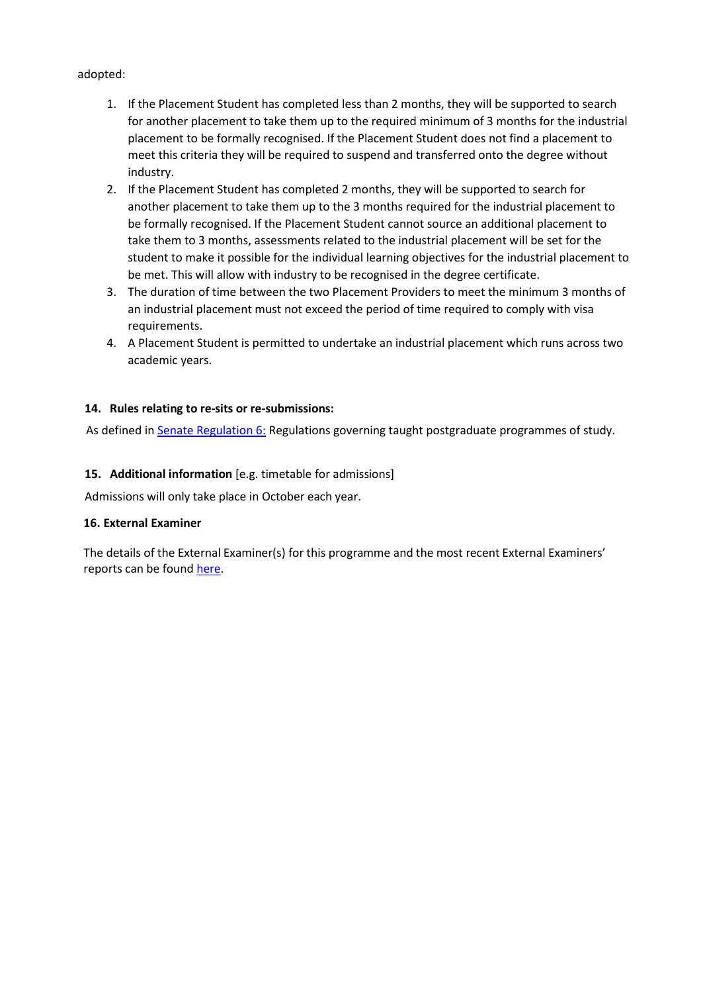## adopted:

- 1. If the Placement Student has completed less than 2 months, they will be supported to search for another placement to take them up to the required minimum of 3 months for the industrial placement to be formally recognised. If the Placement Student does not find a placement to meet this criteria they will be required to suspend and transferred onto the degree without industry.
- 2. If the Placement Student has completed 2 months, they will be supported to search for another placement to take them up to the 3 months required for the industrial placement to be formally recognised. If the Placement Student cannot source an additional placement to take them to 3 months, assessments related to the industrial placement will be set for the student to make it possible for the individual learning objectives for the industrial placement to be met. This will allow with industry to be recognised in the degree certificate.
- 3. The duration of time between the two Placement Providers to meet the minimum 3 months of an industrial placement must not exceed the period of time required to comply with visa requirements.
- 4. A Placement Student is permitted to undertake an industrial placement which runs across two academic years.

## **14. Rules relating to re-sits or re-submissions:**

As defined i[n Senate Regulation 6:](http://www.le.ac.uk/senate-regulation6) Regulations governing taught postgraduate programmes of study.

## **15. Additional information** [e.g. timetable for admissions]

Admissions will only take place in October each year.

### **16. External Examiner**

The details of the External Examiner(s) for this programme and the most recent External Examiners' reports can be found [here.](https://exampapers.le.ac.uk/xmlui/handle/123456789/214)